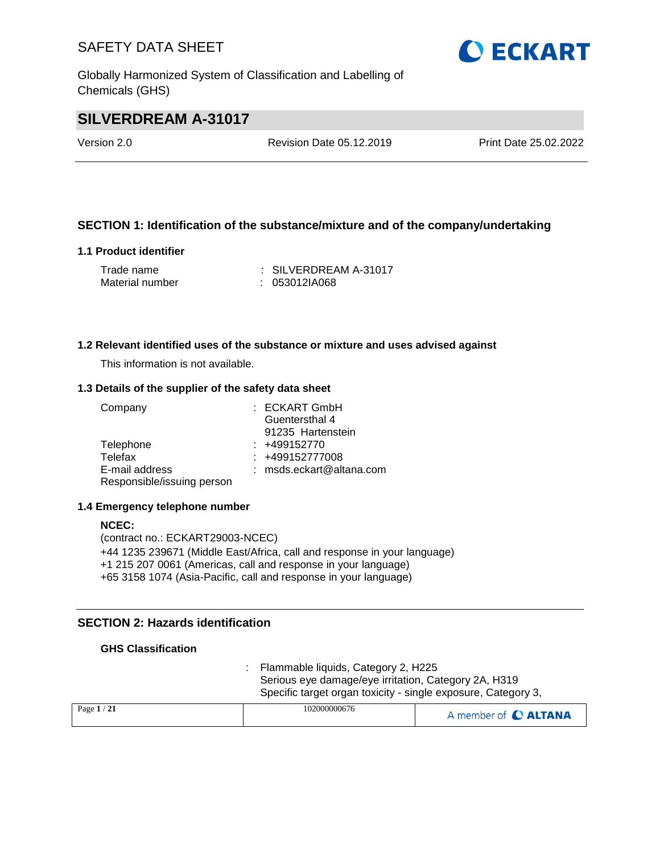Globally Harmonized System of Classification and Labelling of Chemicals (GHS)

# **OECKART**

# **SILVERDREAM A-31017**

Version 2.0 Revision Date 05.12.2019 Print Date 25.02.2022

## **SECTION 1: Identification of the substance/mixture and of the company/undertaking**

## **1.1 Product identifier**

| Trade name      | $\therefore$ SILVERDREAM A-31017 |
|-----------------|----------------------------------|
| Material number | $: 053012$ IA068                 |

## **1.2 Relevant identified uses of the substance or mixture and uses advised against**

This information is not available.

#### **1.3 Details of the supplier of the safety data sheet**

| Company                    | : ECKART GmbH              |
|----------------------------|----------------------------|
|                            | Guentersthal 4             |
|                            | 91235 Hartenstein          |
| Telephone                  | $: +499152770$             |
| Telefax                    | $: +499152777008$          |
| E-mail address             | $:$ msds.eckart@altana.com |
| Responsible/issuing person |                            |

#### **1.4 Emergency telephone number**

## **NCEC:** (contract no.: ECKART29003-NCEC) +44 1235 239671 (Middle East/Africa, call and response in your language) +1 215 207 0061 (Americas, call and response in your language) +65 3158 1074 (Asia-Pacific, call and response in your language)

## **SECTION 2: Hazards identification**

## **GHS Classification**

: Flammable liquids, Category 2, H225 Serious eye damage/eye irritation, Category 2A, H319 Specific target organ toxicity - single exposure, Category 3,

| Page $1/21$ | 102000000676 | A member of C ALTANA |
|-------------|--------------|----------------------|
|             |              |                      |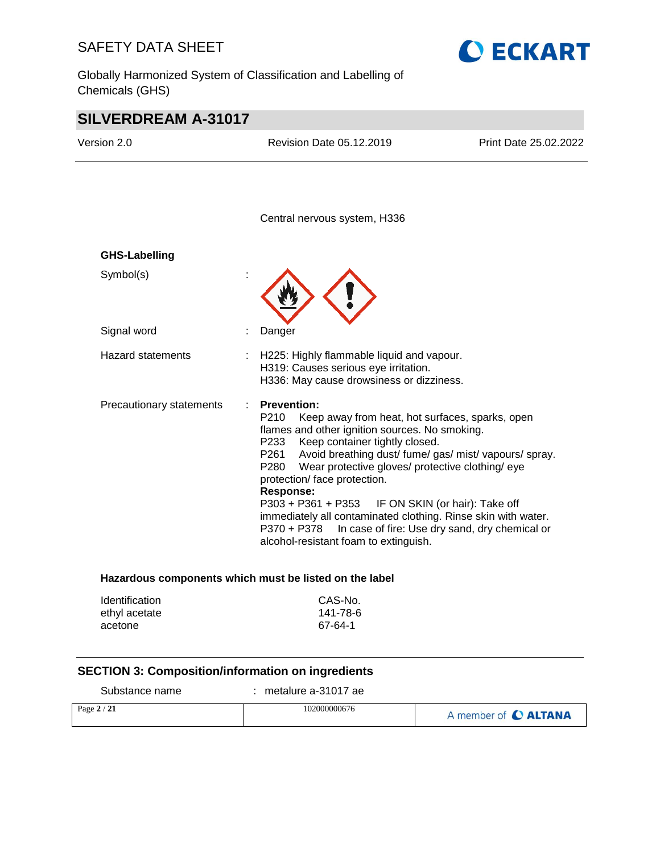Globally Harmonized System of Classification and Labelling of Chemicals (GHS)



# **SILVERDREAM A-31017**

| Version 2.0              | Revision Date 05.12.2019                                                                                                                                                                                                                                                                                                                                                                                                                                                                                       | Print Date 25.02.2022                                                            |
|--------------------------|----------------------------------------------------------------------------------------------------------------------------------------------------------------------------------------------------------------------------------------------------------------------------------------------------------------------------------------------------------------------------------------------------------------------------------------------------------------------------------------------------------------|----------------------------------------------------------------------------------|
|                          | Central nervous system, H336                                                                                                                                                                                                                                                                                                                                                                                                                                                                                   |                                                                                  |
| <b>GHS-Labelling</b>     |                                                                                                                                                                                                                                                                                                                                                                                                                                                                                                                |                                                                                  |
| Symbol(s)                |                                                                                                                                                                                                                                                                                                                                                                                                                                                                                                                |                                                                                  |
| Signal word              | Danger                                                                                                                                                                                                                                                                                                                                                                                                                                                                                                         |                                                                                  |
| <b>Hazard statements</b> | H225: Highly flammable liquid and vapour.<br>H319: Causes serious eye irritation.<br>H336: May cause drowsiness or dizziness.                                                                                                                                                                                                                                                                                                                                                                                  |                                                                                  |
| Precautionary statements | <b>Prevention:</b><br>P210<br>Keep away from heat, hot surfaces, sparks, open<br>flames and other ignition sources. No smoking.<br>P233<br>Keep container tightly closed.<br>P261<br>Avoid breathing dust/ fume/ gas/ mist/ vapours/ spray.<br>P280<br>Wear protective gloves/ protective clothing/ eye<br>protection/ face protection.<br><b>Response:</b><br>$P303 + P361 + P353$<br>immediately all contaminated clothing. Rinse skin with water.<br>$P370 + P378$<br>alcohol-resistant foam to extinguish. | IF ON SKIN (or hair): Take off<br>In case of fire: Use dry sand, dry chemical or |
| Identification           | Hazardous components which must be listed on the label                                                                                                                                                                                                                                                                                                                                                                                                                                                         |                                                                                  |
| ethyl acetate            | CAS-No.<br>141-78-6                                                                                                                                                                                                                                                                                                                                                                                                                                                                                            |                                                                                  |

# **SECTION 3: Composition/information on ingredients**

acetone 67-64-1

Substance name : metalure a-31017 ae

| Page $2/21$ | 102000000676 |                      |
|-------------|--------------|----------------------|
|             |              | A member of C ALTANA |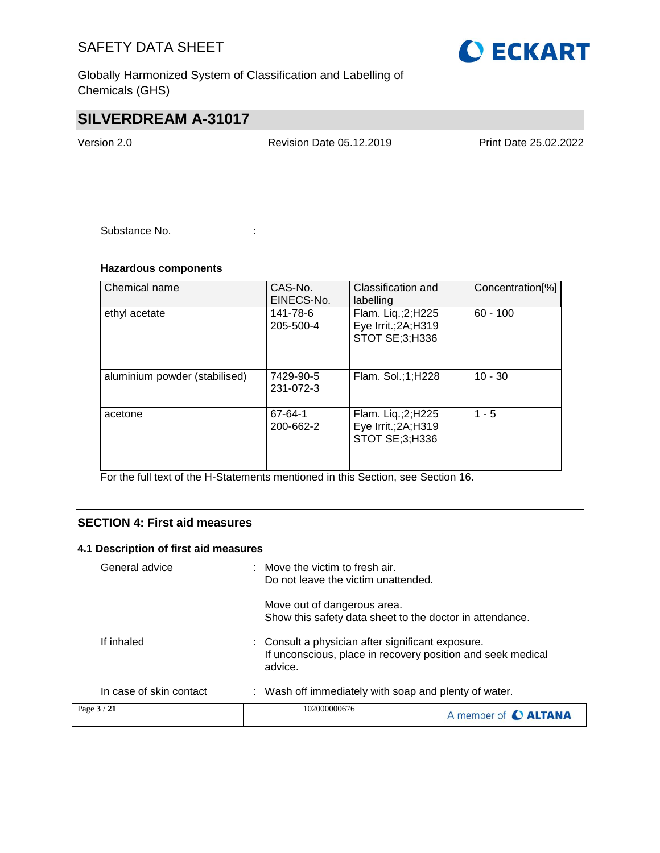Globally Harmonized System of Classification and Labelling of Chemicals (GHS)

# **SILVERDREAM A-31017**

Version 2.0 Revision Date 05.12.2019 Print Date 25.02.2022

Substance No. **:** : :

## **Hazardous components**

| Chemical name                 | CAS-No.<br>EINECS-No.  | Classification and<br>labelling                             | Concentration[%] |
|-------------------------------|------------------------|-------------------------------------------------------------|------------------|
| ethyl acetate                 | 141-78-6<br>205-500-4  | Flam. Liq.;2;H225<br>Eye Irrit.; 2A; H319<br>STOT SE;3;H336 | $60 - 100$       |
| aluminium powder (stabilised) | 7429-90-5<br>231-072-3 | Flam. Sol.;1;H228                                           | $10 - 30$        |
| acetone                       | 67-64-1<br>200-662-2   | Flam. Liq.;2;H225<br>Eye Irrit.; 2A; H319<br>STOT SE;3;H336 | $1 - 5$          |

For the full text of the H-Statements mentioned in this Section, see Section 16.

## **SECTION 4: First aid measures**

## **4.1 Description of first aid measures**

|                         | Move out of dangerous area.<br>Show this safety data sheet to the doctor in attendance. |                                                                                                                  |  |
|-------------------------|-----------------------------------------------------------------------------------------|------------------------------------------------------------------------------------------------------------------|--|
| If inhaled              | advice.                                                                                 | : Consult a physician after significant exposure.<br>If unconscious, place in recovery position and seek medical |  |
| In case of skin contact | : Wash off immediately with soap and plenty of water.                                   |                                                                                                                  |  |
| Page 3/21               | 102000000676                                                                            | A member of C ALTANA                                                                                             |  |

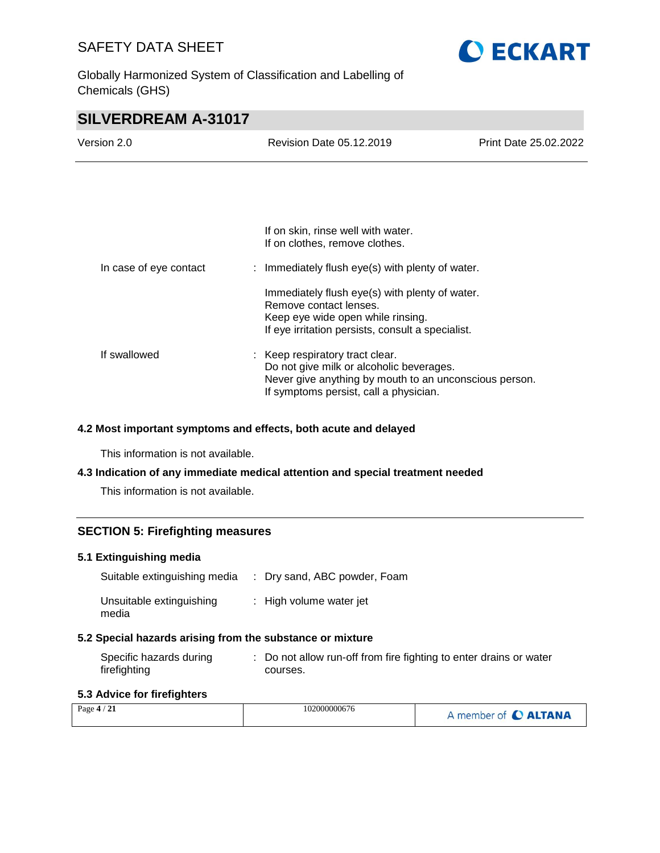Globally Harmonized System of Classification and Labelling of Chemicals (GHS)



# **SILVERDREAM A-31017**

| Version 2.0            | Revision Date 05.12.2019                                                                                                                                                        | <b>Print Date 25.02.2022</b> |
|------------------------|---------------------------------------------------------------------------------------------------------------------------------------------------------------------------------|------------------------------|
|                        |                                                                                                                                                                                 |                              |
|                        |                                                                                                                                                                                 |                              |
|                        | If on skin, rinse well with water.<br>If on clothes, remove clothes.                                                                                                            |                              |
| In case of eye contact | : Immediately flush eye(s) with plenty of water.                                                                                                                                |                              |
|                        | Immediately flush eye(s) with plenty of water.<br>Remove contact lenses.<br>Keep eye wide open while rinsing.<br>If eye irritation persists, consult a specialist.              |                              |
| If swallowed           | : Keep respiratory tract clear.<br>Do not give milk or alcoholic beverages.<br>Never give anything by mouth to an unconscious person.<br>If symptoms persist, call a physician. |                              |

## **4.2 Most important symptoms and effects, both acute and delayed**

This information is not available.

## **4.3 Indication of any immediate medical attention and special treatment needed**

This information is not available.

## **SECTION 5: Firefighting measures**

## **5.1 Extinguishing media**

| Suitable extinguishing media      | : Dry sand, ABC powder, Foam |
|-----------------------------------|------------------------------|
| Unsuitable extinguishing<br>media | : High volume water jet      |

## **5.2 Special hazards arising from the substance or mixture**

| Specific hazards during | : Do not allow run-off from fire fighting to enter drains or water |
|-------------------------|--------------------------------------------------------------------|
| firefighting            | courses.                                                           |

## **5.3 Advice for firefighters**

| $\sqrt{21}$<br>Page $4/$ | 102000000676 | member of C ALTANA |
|--------------------------|--------------|--------------------|
|--------------------------|--------------|--------------------|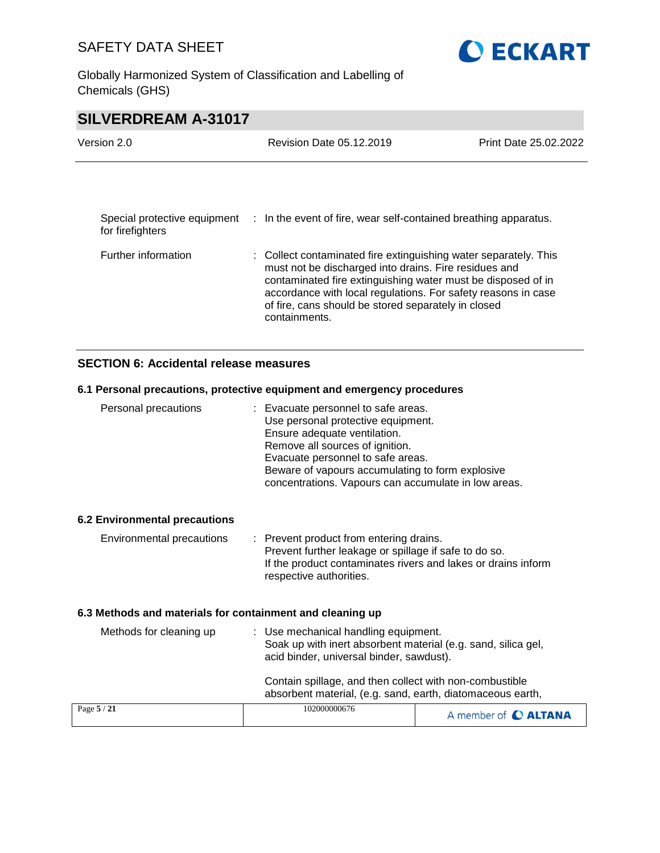Globally Harmonized System of Classification and Labelling of Chemicals (GHS)



# **SILVERDREAM A-31017**

| Version 2.0                                      | Revision Date 05.12.2019                                                                                                                                                                                                                                                                                                           | Print Date 25.02.2022 |
|--------------------------------------------------|------------------------------------------------------------------------------------------------------------------------------------------------------------------------------------------------------------------------------------------------------------------------------------------------------------------------------------|-----------------------|
|                                                  |                                                                                                                                                                                                                                                                                                                                    |                       |
| Special protective equipment<br>for firefighters | : In the event of fire, wear self-contained breathing apparatus.                                                                                                                                                                                                                                                                   |                       |
| Further information                              | : Collect contaminated fire extinguishing water separately. This<br>must not be discharged into drains. Fire residues and<br>contaminated fire extinguishing water must be disposed of in<br>accordance with local regulations. For safety reasons in case<br>of fire, cans should be stored separately in closed<br>containments. |                       |

## **SECTION 6: Accidental release measures**

## **6.1 Personal precautions, protective equipment and emergency procedures**

| Personal precautions                                      | Evacuate personnel to safe areas.                                  |                      |
|-----------------------------------------------------------|--------------------------------------------------------------------|----------------------|
|                                                           | Use personal protective equipment.<br>Ensure adequate ventilation. |                      |
|                                                           | Remove all sources of ignition.                                    |                      |
|                                                           | Evacuate personnel to safe areas.                                  |                      |
|                                                           | Beware of vapours accumulating to form explosive                   |                      |
|                                                           | concentrations. Vapours can accumulate in low areas.               |                      |
| <b>6.2 Environmental precautions</b>                      |                                                                    |                      |
| Environmental precautions                                 | : Prevent product from entering drains.                            |                      |
|                                                           | Prevent further leakage or spillage if safe to do so.              |                      |
|                                                           | If the product contaminates rivers and lakes or drains inform      |                      |
|                                                           | respective authorities.                                            |                      |
| 6.3 Methods and materials for containment and cleaning up |                                                                    |                      |
| Methods for cleaning up                                   | : Use mechanical handling equipment.                               |                      |
|                                                           | Soak up with inert absorbent material (e.g. sand, silica gel,      |                      |
|                                                           | acid binder, universal binder, sawdust).                           |                      |
|                                                           | Contain spillage, and then collect with non-combustible            |                      |
|                                                           | absorbent material, (e.g. sand, earth, diatomaceous earth,         |                      |
| Page 5 / 21                                               | 102000000676                                                       | A member of C ALTANA |
|                                                           |                                                                    |                      |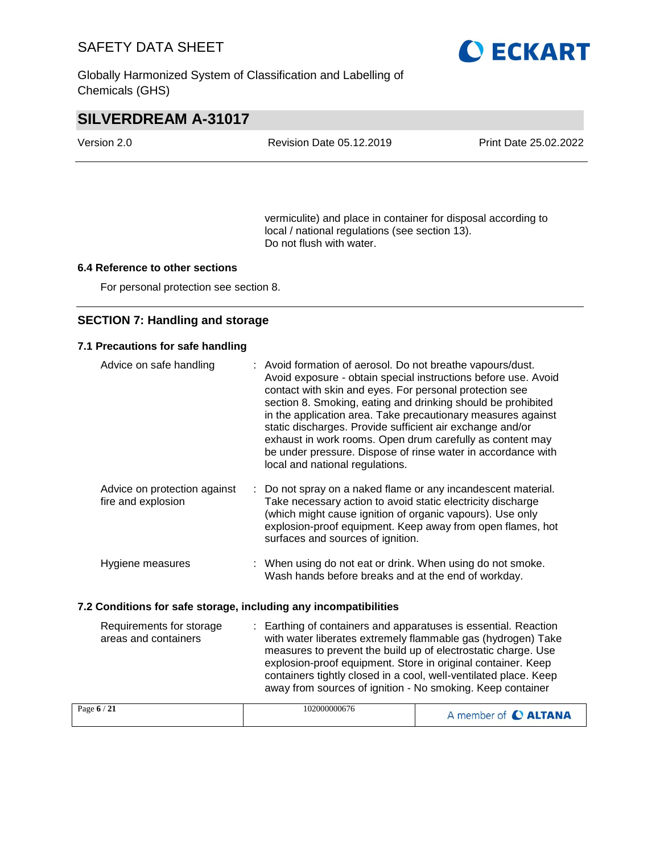Globally Harmonized System of Classification and Labelling of Chemicals (GHS)



# **SILVERDREAM A-31017**

| Version 2.0 | Revision Date 05.12.2019 | Print Date 25.02.2022 |
|-------------|--------------------------|-----------------------|

vermiculite) and place in container for disposal according to local / national regulations (see section 13). Do not flush with water.

## **6.4 Reference to other sections**

For personal protection see section 8.

## **SECTION 7: Handling and storage**

## **7.1 Precautions for safe handling**

| Advice on safe handling                                          | : Avoid formation of aerosol. Do not breathe vapours/dust.                                                                                                                                                                                                                                                                                                                                                                                                                             |                         |
|------------------------------------------------------------------|----------------------------------------------------------------------------------------------------------------------------------------------------------------------------------------------------------------------------------------------------------------------------------------------------------------------------------------------------------------------------------------------------------------------------------------------------------------------------------------|-------------------------|
|                                                                  | Avoid exposure - obtain special instructions before use. Avoid<br>contact with skin and eyes. For personal protection see<br>section 8. Smoking, eating and drinking should be prohibited<br>in the application area. Take precautionary measures against<br>static discharges. Provide sufficient air exchange and/or<br>exhaust in work rooms. Open drum carefully as content may<br>be under pressure. Dispose of rinse water in accordance with<br>local and national regulations. |                         |
| Advice on protection against<br>fire and explosion               | Do not spray on a naked flame or any incandescent material.<br>Take necessary action to avoid static electricity discharge<br>(which might cause ignition of organic vapours). Use only<br>explosion-proof equipment. Keep away from open flames, hot<br>surfaces and sources of ignition.                                                                                                                                                                                             |                         |
| Hygiene measures                                                 | : When using do not eat or drink. When using do not smoke.<br>Wash hands before breaks and at the end of workday.                                                                                                                                                                                                                                                                                                                                                                      |                         |
| 7.2 Conditions for safe storage, including any incompatibilities |                                                                                                                                                                                                                                                                                                                                                                                                                                                                                        |                         |
| Requirements for storage<br>areas and containers                 | : Earthing of containers and apparatuses is essential. Reaction<br>with water liberates extremely flammable gas (hydrogen) Take<br>measures to prevent the build up of electrostatic charge. Use<br>explosion-proof equipment. Store in original container. Keep<br>containers tightly closed in a cool, well-ventilated place. Keep<br>away from sources of ignition - No smoking. Keep container                                                                                     |                         |
| Page 6/21                                                        | 102000000676                                                                                                                                                                                                                                                                                                                                                                                                                                                                           | A model of <b>AITAN</b> |

| 102000000676<br>Page $6/21$ | A member of C ALTANA |
|-----------------------------|----------------------|
|-----------------------------|----------------------|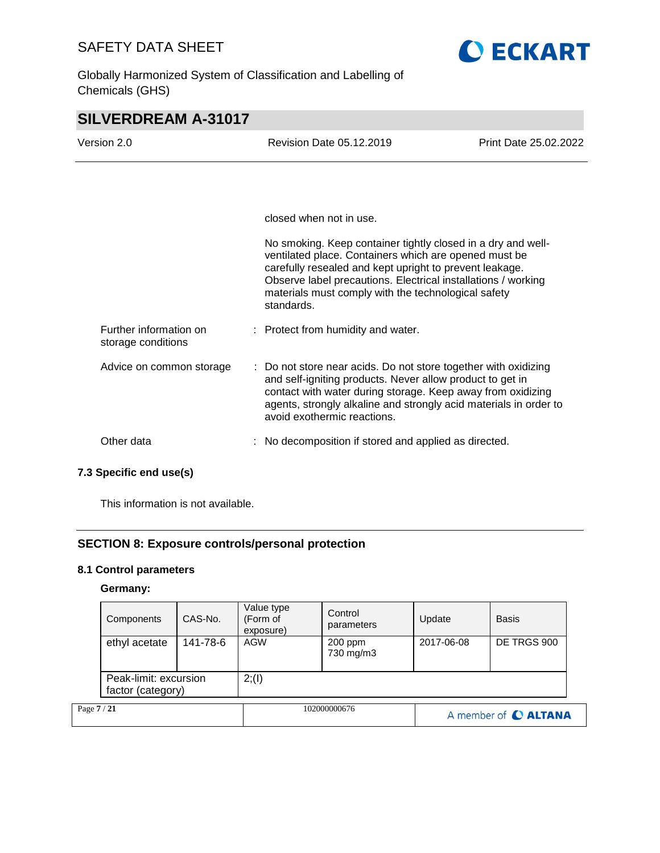Globally Harmonized System of Classification and Labelling of Chemicals (GHS)



# **SILVERDREAM A-31017**

| Version 2.0                                  | Revision Date 05.12.2019<br>Print Date 25.02.2022                                                                                                                                                                                                                                                                      |  |
|----------------------------------------------|------------------------------------------------------------------------------------------------------------------------------------------------------------------------------------------------------------------------------------------------------------------------------------------------------------------------|--|
|                                              |                                                                                                                                                                                                                                                                                                                        |  |
|                                              | closed when not in use.                                                                                                                                                                                                                                                                                                |  |
|                                              | No smoking. Keep container tightly closed in a dry and well-<br>ventilated place. Containers which are opened must be<br>carefully resealed and kept upright to prevent leakage.<br>Observe label precautions. Electrical installations / working<br>materials must comply with the technological safety<br>standards. |  |
| Further information on<br>storage conditions | : Protect from humidity and water.                                                                                                                                                                                                                                                                                     |  |
| Advice on common storage                     | : Do not store near acids. Do not store together with oxidizing<br>and self-igniting products. Never allow product to get in<br>contact with water during storage. Keep away from oxidizing<br>agents, strongly alkaline and strongly acid materials in order to<br>avoid exothermic reactions.                        |  |
| Other data                                   | No decomposition if stored and applied as directed.                                                                                                                                                                                                                                                                    |  |

## **7.3 Specific end use(s)**

This information is not available.

## **SECTION 8: Exposure controls/personal protection**

## **8.1 Control parameters**

## **Germany:**

|             | Components                                 | CAS-No.  | Value type<br>(Form of<br>exposure) | Control<br>parameters | Update     | <b>Basis</b>         |
|-------------|--------------------------------------------|----------|-------------------------------------|-----------------------|------------|----------------------|
|             | ethyl acetate                              | 141-78-6 | AGW                                 | 200 ppm<br>730 mg/m3  | 2017-06-08 | DE TRGS 900          |
|             | Peak-limit: excursion<br>factor (category) |          | 2; (1)                              |                       |            |                      |
| Page 7 / 21 |                                            |          |                                     | 102000000676          |            | A member of C ALTANA |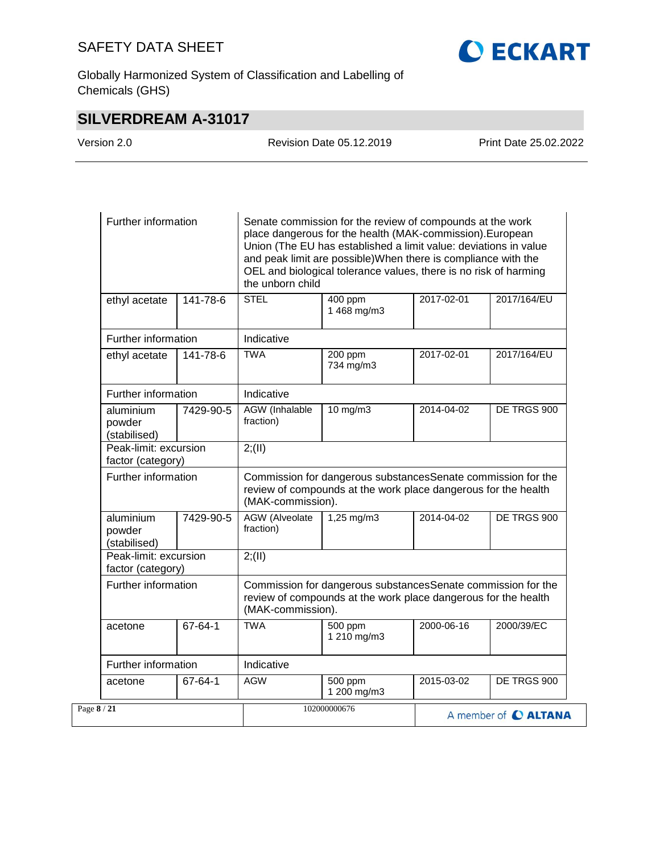**CECKART** 

Globally Harmonized System of Classification and Labelling of Chemicals (GHS)

# **SILVERDREAM A-31017**

| Version 2.0 | <b>Revision Date 05.12.2019</b> | Print Date 25.02.2022 |
|-------------|---------------------------------|-----------------------|
|             |                                 |                       |

| Further information                        |           | Senate commission for the review of compounds at the work<br>place dangerous for the health (MAK-commission). European<br>Union (The EU has established a limit value: deviations in value<br>and peak limit are possible) When there is compliance with the<br>OEL and biological tolerance values, there is no risk of harming<br>the unborn child |                        |            |             |  |
|--------------------------------------------|-----------|------------------------------------------------------------------------------------------------------------------------------------------------------------------------------------------------------------------------------------------------------------------------------------------------------------------------------------------------------|------------------------|------------|-------------|--|
| ethyl acetate                              | 141-78-6  | <b>STEL</b>                                                                                                                                                                                                                                                                                                                                          | 400 ppm<br>1 468 mg/m3 | 2017-02-01 | 2017/164/EU |  |
| Further information                        |           | Indicative                                                                                                                                                                                                                                                                                                                                           |                        |            |             |  |
| ethyl acetate                              | 141-78-6  | <b>TWA</b>                                                                                                                                                                                                                                                                                                                                           | 200 ppm<br>734 mg/m3   | 2017-02-01 | 2017/164/EU |  |
| Further information                        |           | Indicative                                                                                                                                                                                                                                                                                                                                           |                        |            |             |  |
| aluminium<br>powder<br>(stabilised)        | 7429-90-5 | AGW (Inhalable<br>fraction)                                                                                                                                                                                                                                                                                                                          | 10 mg/m3               | 2014-04-02 | DE TRGS 900 |  |
| Peak-limit: excursion<br>factor (category) |           | 2; (II)                                                                                                                                                                                                                                                                                                                                              |                        |            |             |  |
| Further information                        |           | Commission for dangerous substancesSenate commission for the<br>review of compounds at the work place dangerous for the health<br>(MAK-commission).                                                                                                                                                                                                  |                        |            |             |  |
| aluminium<br>powder<br>(stabilised)        | 7429-90-5 | <b>AGW</b> (Alveolate<br>fraction)                                                                                                                                                                                                                                                                                                                   | $1,25$ mg/m $3$        | 2014-04-02 | DE TRGS 900 |  |
| Peak-limit: excursion<br>factor (category) |           | 2; (II)                                                                                                                                                                                                                                                                                                                                              |                        |            |             |  |
| Further information                        |           | Commission for dangerous substancesSenate commission for the<br>review of compounds at the work place dangerous for the health<br>(MAK-commission).                                                                                                                                                                                                  |                        |            |             |  |
| acetone                                    | 67-64-1   | <b>TWA</b>                                                                                                                                                                                                                                                                                                                                           | 500 ppm<br>1 210 mg/m3 | 2000-06-16 | 2000/39/EC  |  |
| Further information                        |           | Indicative                                                                                                                                                                                                                                                                                                                                           |                        |            |             |  |
| acetone                                    | 67-64-1   | <b>AGW</b>                                                                                                                                                                                                                                                                                                                                           | 500 ppm<br>1 200 mg/m3 | 2015-03-02 | DE TRGS 900 |  |
| Page 8/21                                  |           | 102000000676<br>A member of C ALTANA                                                                                                                                                                                                                                                                                                                 |                        |            |             |  |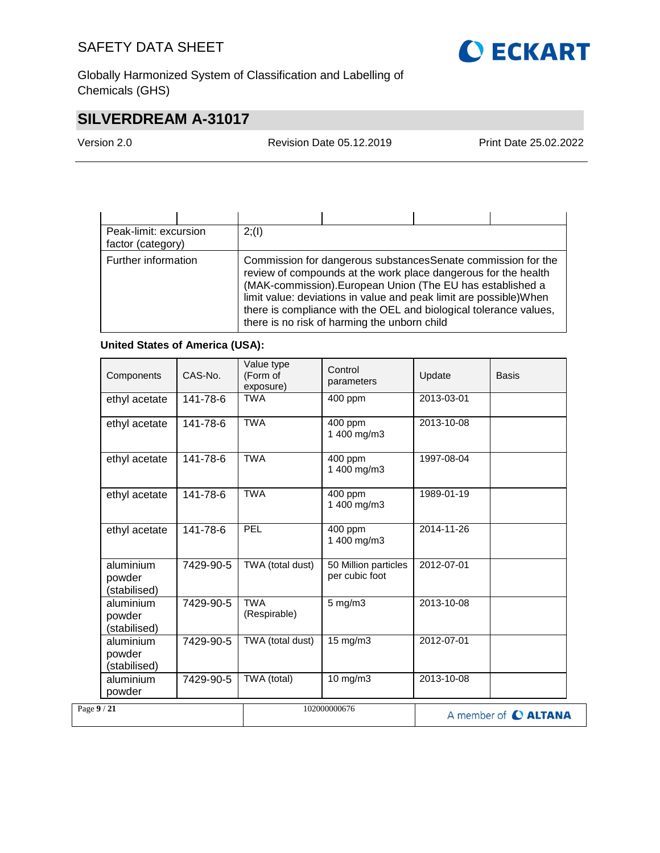

Globally Harmonized System of Classification and Labelling of Chemicals (GHS)

# **SILVERDREAM A-31017**

Version 2.0 Revision Date 05.12.2019 Print Date 25.02.2022

| Peak-limit: excursion<br>factor (category) | 2(1) |                                                                                                                                                                                                                                                                                                                                                                                          |  |
|--------------------------------------------|------|------------------------------------------------------------------------------------------------------------------------------------------------------------------------------------------------------------------------------------------------------------------------------------------------------------------------------------------------------------------------------------------|--|
| Further information                        |      | Commission for dangerous substances Senate commission for the<br>review of compounds at the work place dangerous for the health<br>(MAK-commission). European Union (The EU has established a<br>limit value: deviations in value and peak limit are possible) When<br>there is compliance with the OEL and biological tolerance values,<br>there is no risk of harming the unborn child |  |

## **United States of America (USA):**

| Components                          | CAS-No.   | Value type<br>(Form of<br>exposure) | Control<br>parameters                  | Update     | Basis                |
|-------------------------------------|-----------|-------------------------------------|----------------------------------------|------------|----------------------|
| ethyl acetate                       | 141-78-6  | <b>TWA</b>                          | 400 ppm                                | 2013-03-01 |                      |
| ethyl acetate                       | 141-78-6  | <b>TWA</b>                          | 400 ppm<br>1 400 mg/m3                 | 2013-10-08 |                      |
| ethyl acetate                       | 141-78-6  | <b>TWA</b>                          | 400 ppm<br>1 400 mg/m3                 | 1997-08-04 |                      |
| ethyl acetate                       | 141-78-6  | <b>TWA</b>                          | 400 ppm<br>1 400 mg/m3                 | 1989-01-19 |                      |
| ethyl acetate                       | 141-78-6  | PEL                                 | 400 ppm<br>1 400 mg/m3                 | 2014-11-26 |                      |
| aluminium<br>powder<br>(stabilised) | 7429-90-5 | TWA (total dust)                    | 50 Million particles<br>per cubic foot | 2012-07-01 |                      |
| aluminium<br>powder<br>(stabilised) | 7429-90-5 | <b>TWA</b><br>(Respirable)          | $5$ mg/m $3$                           | 2013-10-08 |                      |
| aluminium<br>powder<br>(stabilised) | 7429-90-5 | TWA (total dust)                    | 15 mg/m3                               | 2012-07-01 |                      |
| aluminium<br>powder                 | 7429-90-5 | TWA (total)                         | 10 mg/m3                               | 2013-10-08 |                      |
| Page 9 / 21                         |           |                                     | 102000000676                           |            | A member of C ALTANA |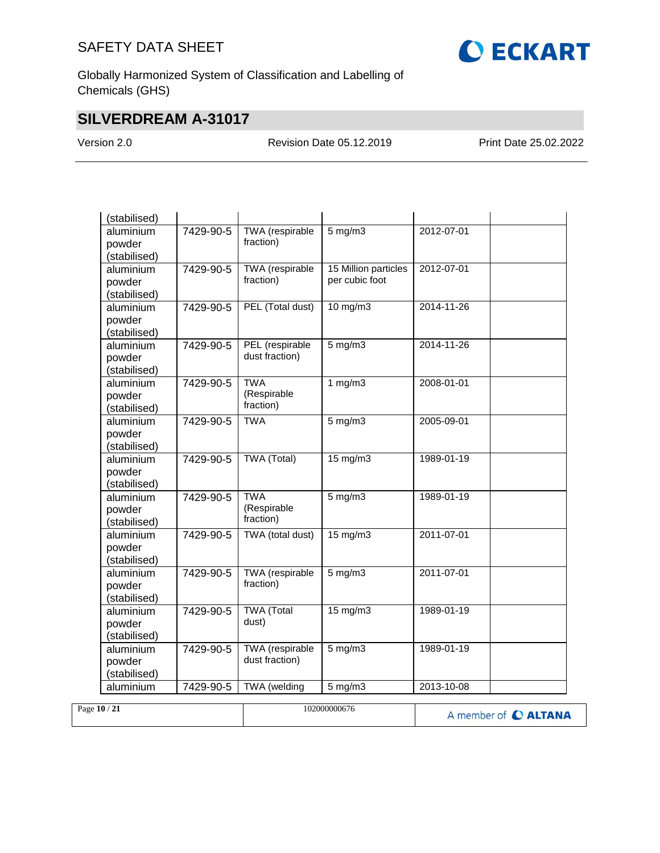

Globally Harmonized System of Classification and Labelling of Chemicals (GHS)

# **SILVERDREAM A-31017**

Version 2.0 Revision Date 05.12.2019 Print Date 25.02.2022

| (stabilised)              |           |                           |                      |                  |  |
|---------------------------|-----------|---------------------------|----------------------|------------------|--|
| aluminium                 | 7429-90-5 | <b>TWA</b> (respirable    | $5$ mg/m $3$         | 2012-07-01       |  |
| powder                    |           | fraction)                 |                      |                  |  |
| (stabilised)<br>aluminium | 7429-90-5 | <b>TWA</b> (respirable    | 15 Million particles | 2012-07-01       |  |
| powder                    |           | fraction)                 | per cubic foot       |                  |  |
| (stabilised)              |           |                           |                      |                  |  |
| aluminium                 | 7429-90-5 | PEL (Total dust)          | $10$ mg/m $3$        | 2014-11-26       |  |
| powder                    |           |                           |                      |                  |  |
| (stabilised)              |           |                           |                      |                  |  |
| aluminium                 | 7429-90-5 | PEL (respirable           | $5$ mg/m $3$         | 2014-11-26       |  |
| powder                    |           | dust fraction)            |                      |                  |  |
| (stabilised)              |           |                           |                      |                  |  |
| aluminium                 | 7429-90-5 | <b>TWA</b><br>(Respirable | $1$ mg/m $3$         | 2008-01-01       |  |
| powder                    |           | fraction)                 |                      |                  |  |
| (stabilised)<br>aluminium | 7429-90-5 | <b>TWA</b>                | $5$ mg/m $3$         | 2005-09-01       |  |
| powder                    |           |                           |                      |                  |  |
| (stabilised)              |           |                           |                      |                  |  |
| aluminium                 | 7429-90-5 | TWA (Total)               | 15 mg/m3             | 1989-01-19       |  |
| powder                    |           |                           |                      |                  |  |
| (stabilised)              |           |                           |                      |                  |  |
| aluminium                 | 7429-90-5 | <b>TWA</b>                | $5$ mg/m $3$         | 1989-01-19       |  |
| powder                    |           | (Respirable               |                      |                  |  |
| (stabilised)              |           | fraction)                 |                      |                  |  |
| aluminium                 | 7429-90-5 | TWA (total dust)          | $15 \text{ mg/m}$    | $2011 - 07 - 01$ |  |
| powder                    |           |                           |                      |                  |  |
| (stabilised)<br>aluminium | 7429-90-5 | <b>TWA</b> (respirable    | $5$ mg/m $3$         | 2011-07-01       |  |
| powder                    |           | fraction)                 |                      |                  |  |
| (stabilised)              |           |                           |                      |                  |  |
| aluminium                 | 7429-90-5 | <b>TWA</b> (Total         | $15 \text{ mg/m}$    | 1989-01-19       |  |
| powder                    |           | dust)                     |                      |                  |  |
| (stabilised)              |           |                           |                      |                  |  |
| aluminium                 | 7429-90-5 | <b>TWA</b> (respirable    | $5$ mg/m $3$         | 1989-01-19       |  |
| powder                    |           | dust fraction)            |                      |                  |  |
| (stabilised)              |           |                           |                      |                  |  |
| aluminium                 | 7429-90-5 | TWA (welding              | $5$ mg/m $3$         | 2013-10-08       |  |

| Page 10 / 21 | 102000000676 | A member of C ALTANA |
|--------------|--------------|----------------------|
|              |              |                      |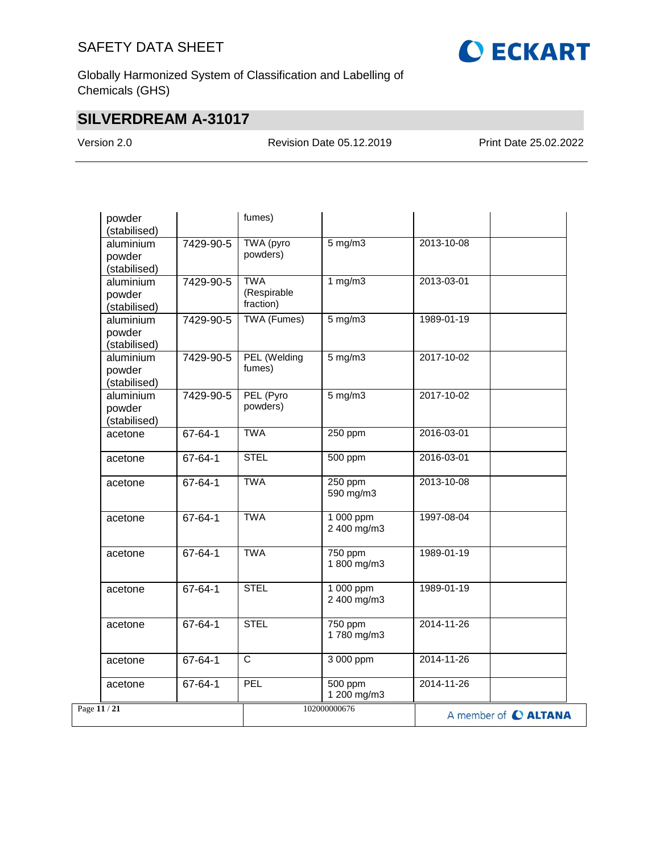

Globally Harmonized System of Classification and Labelling of Chemicals (GHS)

# **SILVERDREAM A-31017**

Version 2.0 Revision Date 05.12.2019 Print Date 25.02.2022

| powder<br>(stabilised)              |               | fumes)                                 |                                         |            |                      |
|-------------------------------------|---------------|----------------------------------------|-----------------------------------------|------------|----------------------|
| aluminium<br>powder<br>(stabilised) | 7429-90-5     | TWA (pyro<br>powders)                  | $5$ mg/m $3$                            | 2013-10-08 |                      |
| aluminium<br>powder<br>(stabilised) | 7429-90-5     | <b>TWA</b><br>(Respirable<br>fraction) | 1 $mg/m3$                               | 2013-03-01 |                      |
| aluminium<br>powder<br>(stabilised) | 7429-90-5     | <b>TWA (Fumes)</b>                     | $5 \overline{\mathrm{mg}} / \mathrm{m}$ | 1989-01-19 |                      |
| aluminium<br>powder<br>(stabilised) | 7429-90-5     | PEL (Welding<br>fumes)                 | $5$ mg/m $3$                            | 2017-10-02 |                      |
| aluminium<br>powder<br>(stabilised) | 7429-90-5     | PEL (Pyro<br>powders)                  | $5$ mg/m $3$                            | 2017-10-02 |                      |
| acetone                             | 67-64-1       | <b>TWA</b>                             | 250 ppm                                 | 2016-03-01 |                      |
| acetone                             | 67-64-1       | <b>STEL</b>                            | 500 ppm                                 | 2016-03-01 |                      |
| acetone                             | 67-64-1       | <b>TWA</b>                             | 250 ppm<br>590 mg/m3                    | 2013-10-08 |                      |
| acetone                             | $67 - 64 - 1$ | <b>TWA</b>                             | $1000$ ppm<br>2 400 mg/m3               | 1997-08-04 |                      |
| acetone                             | 67-64-1       | <b>TWA</b>                             | 750 ppm<br>1 800 mg/m3                  | 1989-01-19 |                      |
| acetone                             | 67-64-1       | <b>STEL</b>                            | 1 000 ppm<br>2 400 mg/m3                | 1989-01-19 |                      |
| acetone                             | $67 - 64 - 1$ | <b>STEL</b>                            | 750 ppm<br>1780 mg/m3                   | 2014-11-26 |                      |
| acetone                             | 67-64-1       | $\mathsf{C}$                           | 3 000 ppm                               | 2014-11-26 |                      |
| acetone                             | 67-64-1       | PEL                                    | 500 ppm<br>1 200 mg/m3                  | 2014-11-26 |                      |
| Page 11 / 21                        |               |                                        | 102000000676                            |            | A member of C ALTANA |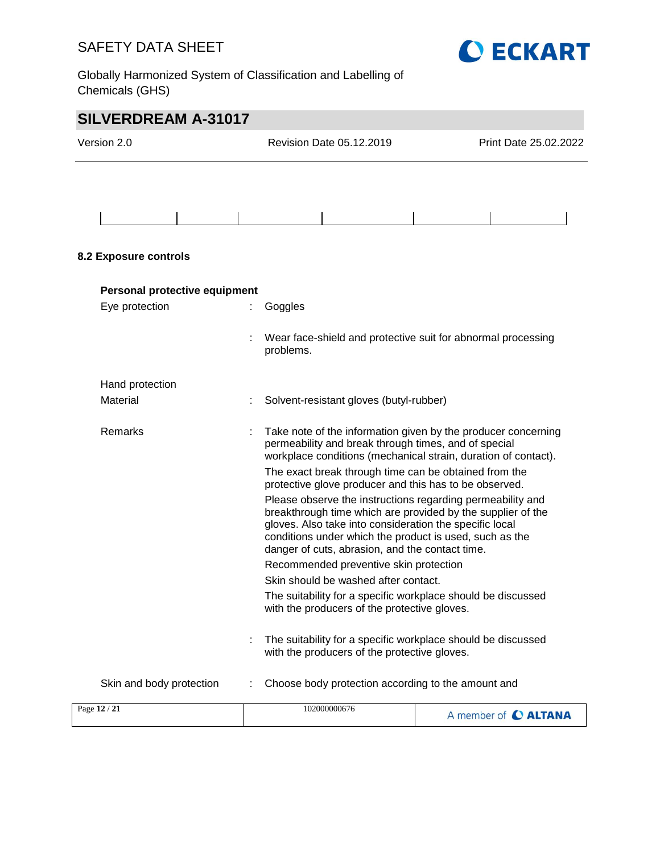

Globally Harmonized System of Classification and Labelling of Chemicals (GHS)

| <b>SILVERDREAM A-31017</b>    |  |                                                                                                                                                                                                                                                                                                    |                       |  |  |
|-------------------------------|--|----------------------------------------------------------------------------------------------------------------------------------------------------------------------------------------------------------------------------------------------------------------------------------------------------|-----------------------|--|--|
| Version 2.0                   |  | Revision Date 05.12.2019                                                                                                                                                                                                                                                                           | Print Date 25.02.2022 |  |  |
|                               |  |                                                                                                                                                                                                                                                                                                    |                       |  |  |
|                               |  |                                                                                                                                                                                                                                                                                                    |                       |  |  |
|                               |  |                                                                                                                                                                                                                                                                                                    |                       |  |  |
| 8.2 Exposure controls         |  |                                                                                                                                                                                                                                                                                                    |                       |  |  |
| Personal protective equipment |  |                                                                                                                                                                                                                                                                                                    |                       |  |  |
| Eye protection                |  | Goggles                                                                                                                                                                                                                                                                                            |                       |  |  |
|                               |  | Wear face-shield and protective suit for abnormal processing<br>problems.                                                                                                                                                                                                                          |                       |  |  |
| Hand protection               |  |                                                                                                                                                                                                                                                                                                    |                       |  |  |
| Material                      |  | Solvent-resistant gloves (butyl-rubber)                                                                                                                                                                                                                                                            |                       |  |  |
| Remarks                       |  | Take note of the information given by the producer concerning<br>permeability and break through times, and of special<br>workplace conditions (mechanical strain, duration of contact).                                                                                                            |                       |  |  |
|                               |  | The exact break through time can be obtained from the<br>protective glove producer and this has to be observed.                                                                                                                                                                                    |                       |  |  |
|                               |  | Please observe the instructions regarding permeability and<br>breakthrough time which are provided by the supplier of the<br>gloves. Also take into consideration the specific local<br>conditions under which the product is used, such as the<br>danger of cuts, abrasion, and the contact time. |                       |  |  |
|                               |  | Recommended preventive skin protection                                                                                                                                                                                                                                                             |                       |  |  |
|                               |  | Skin should be washed after contact.                                                                                                                                                                                                                                                               |                       |  |  |
|                               |  | The suitability for a specific workplace should be discussed<br>with the producers of the protective gloves.                                                                                                                                                                                       |                       |  |  |
|                               |  | The suitability for a specific workplace should be discussed<br>with the producers of the protective gloves.                                                                                                                                                                                       |                       |  |  |
| Skin and body protection      |  | Choose body protection according to the amount and                                                                                                                                                                                                                                                 |                       |  |  |
| Page 12 / 21                  |  | 102000000676                                                                                                                                                                                                                                                                                       | A member of C ALTANA  |  |  |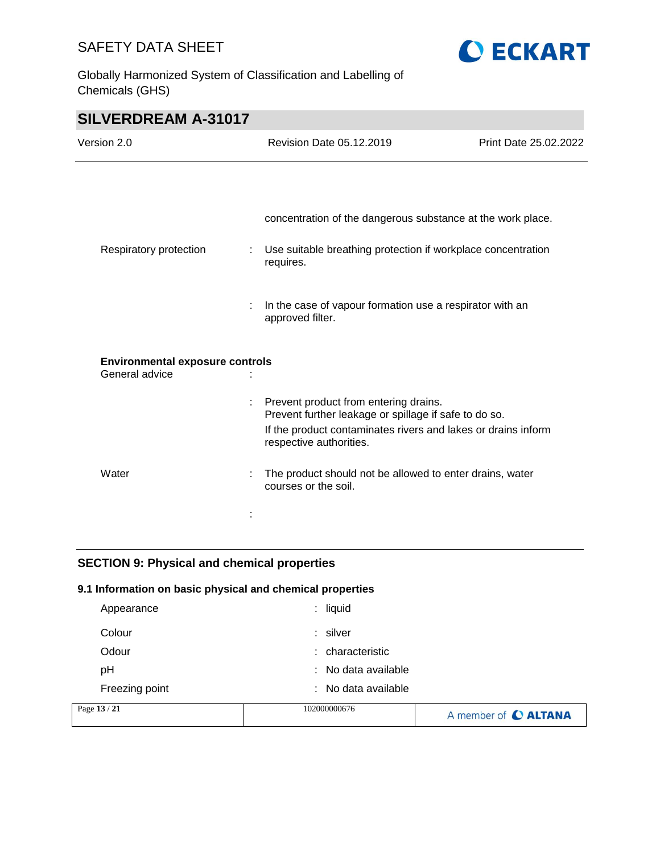Globally Harmonized System of Classification and Labelling of Chemicals (GHS)



| <b>SILVERDREAM A-31017</b>                               |   |                                                                                                                                                                                            |                       |
|----------------------------------------------------------|---|--------------------------------------------------------------------------------------------------------------------------------------------------------------------------------------------|-----------------------|
| Version 2.0                                              |   | <b>Revision Date 05.12.2019</b>                                                                                                                                                            | Print Date 25.02.2022 |
|                                                          |   |                                                                                                                                                                                            |                       |
|                                                          |   | concentration of the dangerous substance at the work place.                                                                                                                                |                       |
| Respiratory protection                                   | ÷ | Use suitable breathing protection if workplace concentration<br>requires.                                                                                                                  |                       |
|                                                          |   | In the case of vapour formation use a respirator with an<br>approved filter.                                                                                                               |                       |
| <b>Environmental exposure controls</b><br>General advice |   |                                                                                                                                                                                            |                       |
|                                                          | ÷ | Prevent product from entering drains.<br>Prevent further leakage or spillage if safe to do so.<br>If the product contaminates rivers and lakes or drains inform<br>respective authorities. |                       |
| Water                                                    |   | The product should not be allowed to enter drains, water<br>courses or the soil.                                                                                                           |                       |
|                                                          |   |                                                                                                                                                                                            |                       |

## **SECTION 9: Physical and chemical properties**

## **9.1 Information on basic physical and chemical properties**

| Page 13 / 21   | 102000000676                   | A member of C ALTANA |
|----------------|--------------------------------|----------------------|
| Freezing point | $\therefore$ No data available |                      |
| рH             | : No data available            |                      |
| Odour          | : characteristic               |                      |
| Colour         | : silver                       |                      |
| Appearance     | $:$ liquid                     |                      |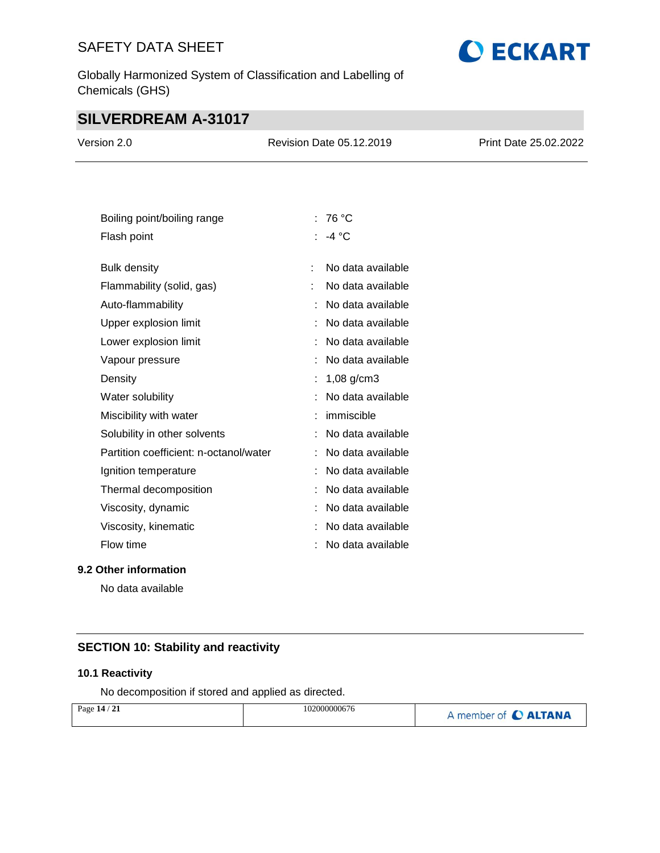Globally Harmonized System of Classification and Labelling of Chemicals (GHS)

# **O ECKART**

# **SILVERDREAM A-31017**

| Version 2.0                            | Revision Date 05.12.2019 | Print Date 25.02.2022 |
|----------------------------------------|--------------------------|-----------------------|
|                                        |                          |                       |
| Boiling point/boiling range            | : 76 $^{\circ}$ C        |                       |
| Flash point                            | : $-4^{\circ}C$          |                       |
| <b>Bulk density</b>                    | No data available        |                       |
| Flammability (solid, gas)              | No data available        |                       |
| Auto-flammability                      | No data available        |                       |
| Upper explosion limit                  | No data available        |                       |
| Lower explosion limit                  | No data available        |                       |
| Vapour pressure                        | No data available        |                       |
| Density                                | 1,08 $g/cm3$             |                       |
| Water solubility                       | No data available        |                       |
| Miscibility with water                 | immiscible               |                       |
| Solubility in other solvents           | No data available        |                       |
| Partition coefficient: n-octanol/water | No data available        |                       |
| Ignition temperature                   | No data available        |                       |
| Thermal decomposition                  | No data available        |                       |
| Viscosity, dynamic                     | No data available        |                       |
| Viscosity, kinematic                   | No data available        |                       |

## **9.2 Other information**

No data available

## **SECTION 10: Stability and reactivity**

## **10.1 Reactivity**

No decomposition if stored and applied as directed.

Flow time  $\qquad \qquad : \quad No\ data\ available$ 

| Page 14 / 21 | 102000000676 | A member of C ALTANA |
|--------------|--------------|----------------------|
|              |              |                      |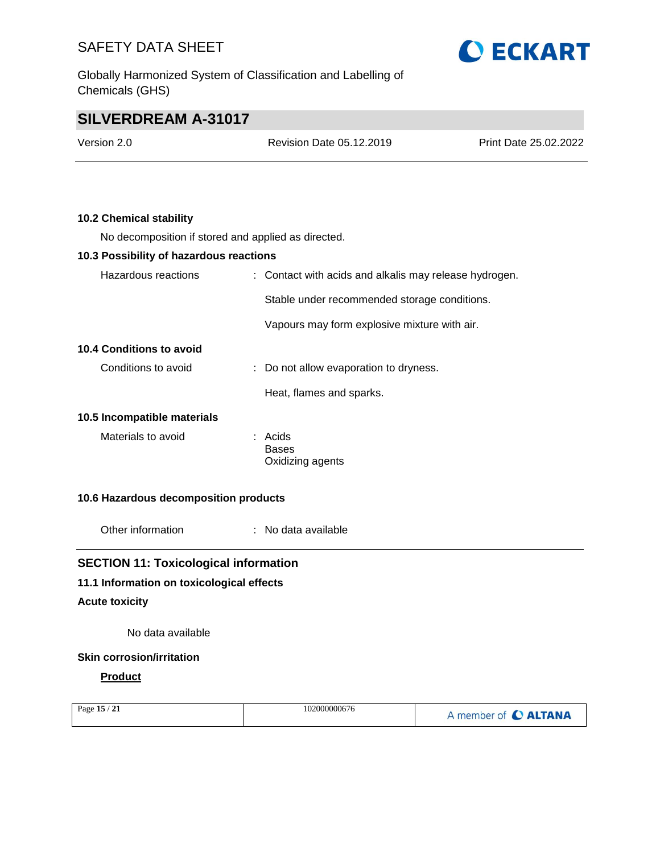Globally Harmonized System of Classification and Labelling of Chemicals (GHS)



# **SILVERDREAM A-31017**

| Version 2.0 | Revision Date 05.12.2019 | Print Date 25.02.2022 |
|-------------|--------------------------|-----------------------|
|             |                          |                       |

## **10.2 Chemical stability**

No decomposition if stored and applied as directed.

| 10.3 Possibility of hazardous reactions |                                                        |
|-----------------------------------------|--------------------------------------------------------|
| Hazardous reactions                     | : Contact with acids and alkalis may release hydrogen. |
|                                         | Stable under recommended storage conditions.           |
|                                         | Vapours may form explosive mixture with air.           |
| 10.4 Conditions to avoid                |                                                        |
| Conditions to avoid                     | : Do not allow evaporation to dryness.                 |
|                                         | Heat, flames and sparks.                               |
| 10.5 Incompatible materials             |                                                        |
| Materials to avoid                      | : Acids<br>Bases<br>Oxidizing agents                   |

### **10.6 Hazardous decomposition products**

Other information : No data available

## **SECTION 11: Toxicological information**

## **11.1 Information on toxicological effects**

#### **Acute toxicity**

No data available

## **Skin corrosion/irritation**

## **Product**

| Page 15 / 21 | 102000000676 | A member of C ALTANA |
|--------------|--------------|----------------------|
|              |              |                      |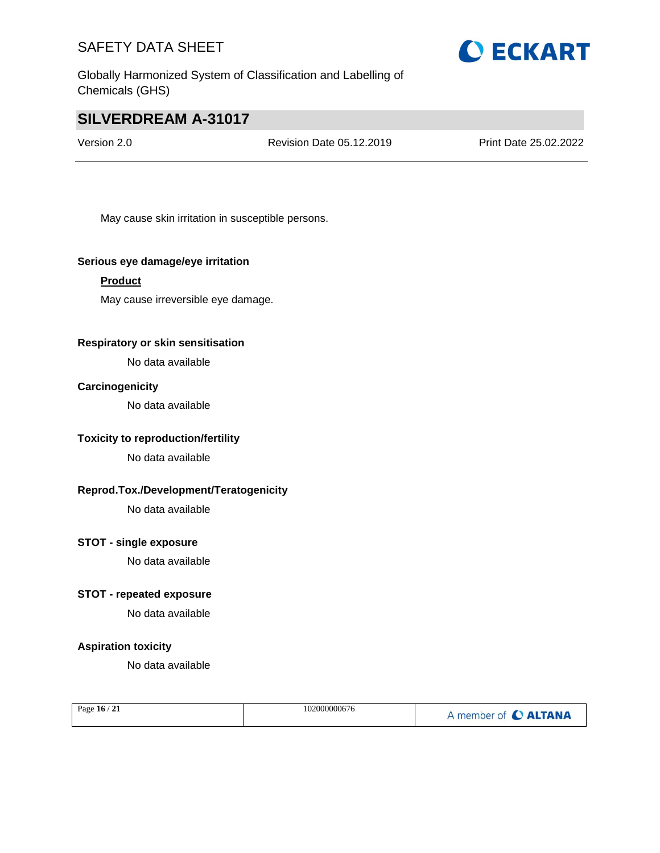



# **SILVERDREAM A-31017**

Version 2.0 Revision Date 05.12.2019 Print Date 25.02.2022

May cause skin irritation in susceptible persons.

#### **Serious eye damage/eye irritation**

#### **Product**

May cause irreversible eye damage.

## **Respiratory or skin sensitisation**

No data available

## **Carcinogenicity**

No data available

## **Toxicity to reproduction/fertility**

No data available

## **Reprod.Tox./Development/Teratogenicity**

No data available

## **STOT - single exposure**

No data available

## **STOT - repeated exposure**

No data available

## **Aspiration toxicity**

No data available

| Page 16 / 21 | 102000000676 | A member of C ALTANA |
|--------------|--------------|----------------------|
|--------------|--------------|----------------------|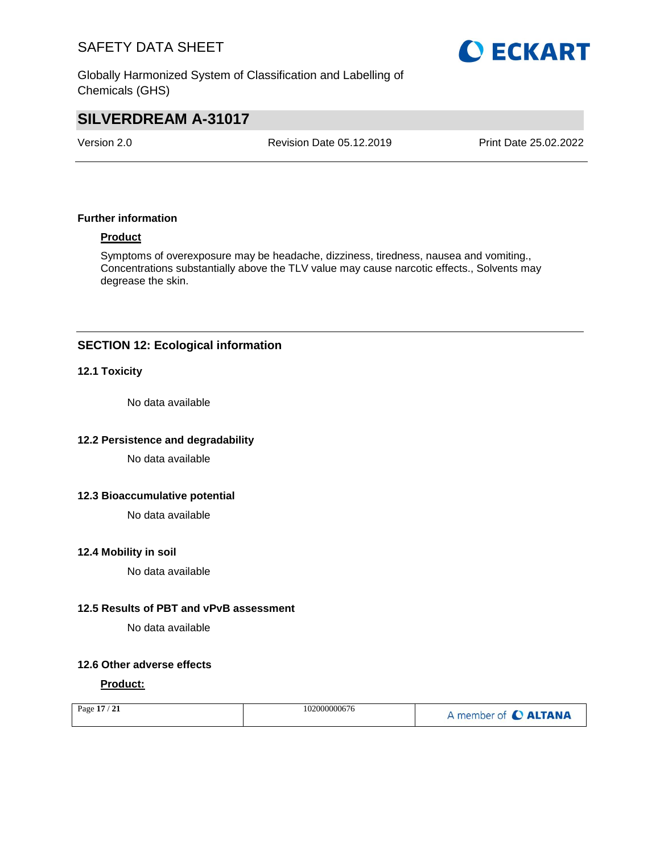Globally Harmonized System of Classification and Labelling of Chemicals (GHS)

# **O ECKART**

# **SILVERDREAM A-31017**

Version 2.0 Revision Date 05.12.2019 Print Date 25.02.2022

## **Further information**

## **Product**

Symptoms of overexposure may be headache, dizziness, tiredness, nausea and vomiting., Concentrations substantially above the TLV value may cause narcotic effects., Solvents may degrease the skin.

## **SECTION 12: Ecological information**

#### **12.1 Toxicity**

No data available

## **12.2 Persistence and degradability**

No data available

#### **12.3 Bioaccumulative potential**

No data available

### **12.4 Mobility in soil**

No data available

#### **12.5 Results of PBT and vPvB assessment**

No data available

## **12.6 Other adverse effects**

#### **Product:**

| Page 17 / 21 | 102000000676 | A member of C ALTANA |
|--------------|--------------|----------------------|
|              |              |                      |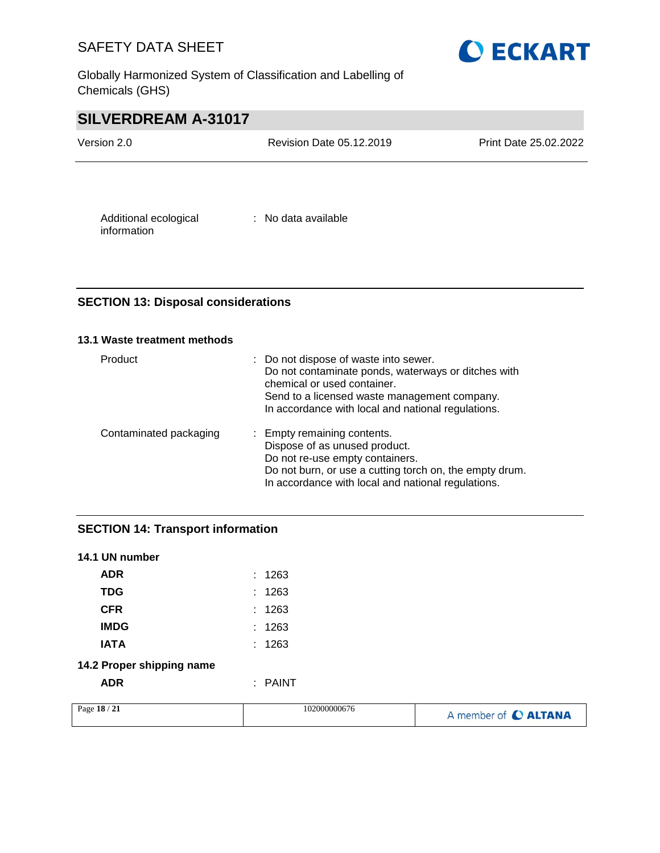Globally Harmonized System of Classification and Labelling of Chemicals (GHS)



# **SILVERDREAM A-31017**

| Version 2.0           | <b>Revision Date 05.12.2019</b> | Print Date 25.02.2022 |
|-----------------------|---------------------------------|-----------------------|
|                       |                                 |                       |
| Additional ecological | : No data available             |                       |

## **SECTION 13: Disposal considerations**

## **13.1 Waste treatment methods**

information

| Product                | : Do not dispose of waste into sewer.<br>Do not contaminate ponds, waterways or ditches with<br>chemical or used container.<br>Send to a licensed waste management company.<br>In accordance with local and national regulations. |
|------------------------|-----------------------------------------------------------------------------------------------------------------------------------------------------------------------------------------------------------------------------------|
| Contaminated packaging | : Empty remaining contents.<br>Dispose of as unused product.<br>Do not re-use empty containers.<br>Do not burn, or use a cutting torch on, the empty drum.<br>In accordance with local and national regulations.                  |

## **SECTION 14: Transport information**

| 14.1 UN number            |         |
|---------------------------|---------|
| <b>ADR</b>                | : 1263  |
| <b>TDG</b>                | : 1263  |
| <b>CFR</b>                | : 1263  |
| <b>IMDG</b>               | : 1263  |
| IATA                      | : 1263  |
| 14.2 Proper shipping name |         |
| ADR                       | : PAINT |

| Page $18/$<br>$^{\prime}$ 21 | 102000000676 | A member of C ALTANA |
|------------------------------|--------------|----------------------|
|------------------------------|--------------|----------------------|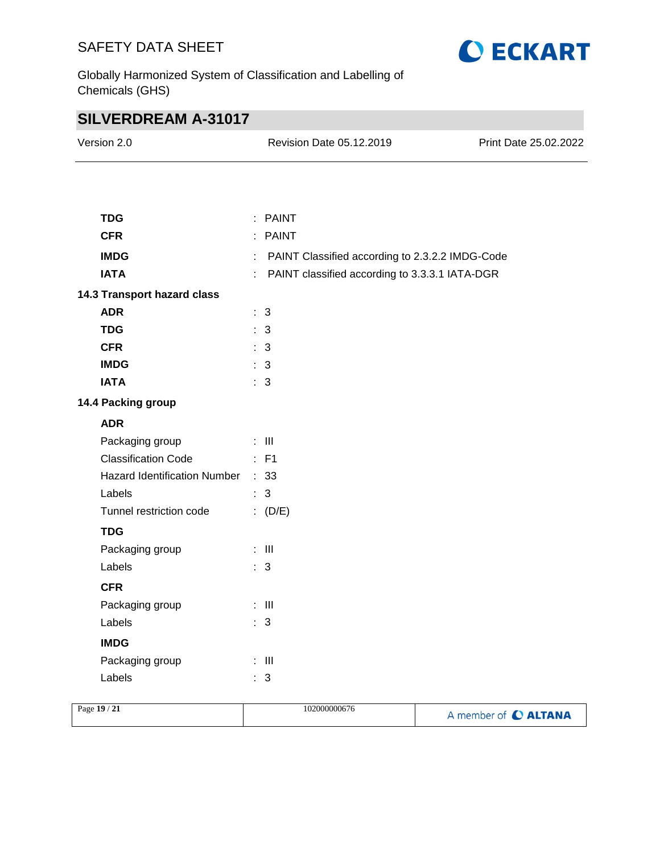

Globally Harmonized System of Classification and Labelling of Chemicals (GHS)

# **SILVERDREAM A-31017**

| Version 2.0                       |   | Revision Date 05.12.2019                        | Print Date 25.02.2022 |
|-----------------------------------|---|-------------------------------------------------|-----------------------|
|                                   |   |                                                 |                       |
| <b>TDG</b>                        |   | : PAINT                                         |                       |
| <b>CFR</b>                        |   | : PAINT                                         |                       |
| <b>IMDG</b>                       |   | PAINT Classified according to 2.3.2.2 IMDG-Code |                       |
| <b>IATA</b>                       | ÷ | PAINT classified according to 3.3.3.1 IATA-DGR  |                       |
| 14.3 Transport hazard class       |   |                                                 |                       |
| <b>ADR</b>                        |   | : 3                                             |                       |
| <b>TDG</b>                        |   | : 3                                             |                       |
| <b>CFR</b>                        |   | : 3                                             |                       |
| <b>IMDG</b>                       |   | : 3                                             |                       |
| <b>IATA</b>                       |   | $\therefore$ 3                                  |                       |
| 14.4 Packing group                |   |                                                 |                       |
| <b>ADR</b>                        |   |                                                 |                       |
| Packaging group                   |   | $\therefore$ III                                |                       |
| <b>Classification Code</b>        |   | $:$ F1                                          |                       |
| Hazard Identification Number : 33 |   |                                                 |                       |
| Labels                            |   | $\therefore$ 3                                  |                       |
| Tunnel restriction code           |   | : $(D/E)$                                       |                       |
| <b>TDG</b>                        |   |                                                 |                       |
| Packaging group                   |   | $\therefore$ III                                |                       |
| Labels                            |   | : 3                                             |                       |
| <b>CFR</b>                        |   |                                                 |                       |
| Packaging group                   |   | $\colon$ III                                    |                       |
| Labels                            |   | : 3                                             |                       |
| <b>IMDG</b>                       |   |                                                 |                       |
| Packaging group                   |   | $\pm$ 111                                       |                       |
| Labels                            |   | : 3                                             |                       |
|                                   |   |                                                 |                       |

| Page 19 / 21 | 102000000676 | A member of C ALTANA |
|--------------|--------------|----------------------|
|              |              |                      |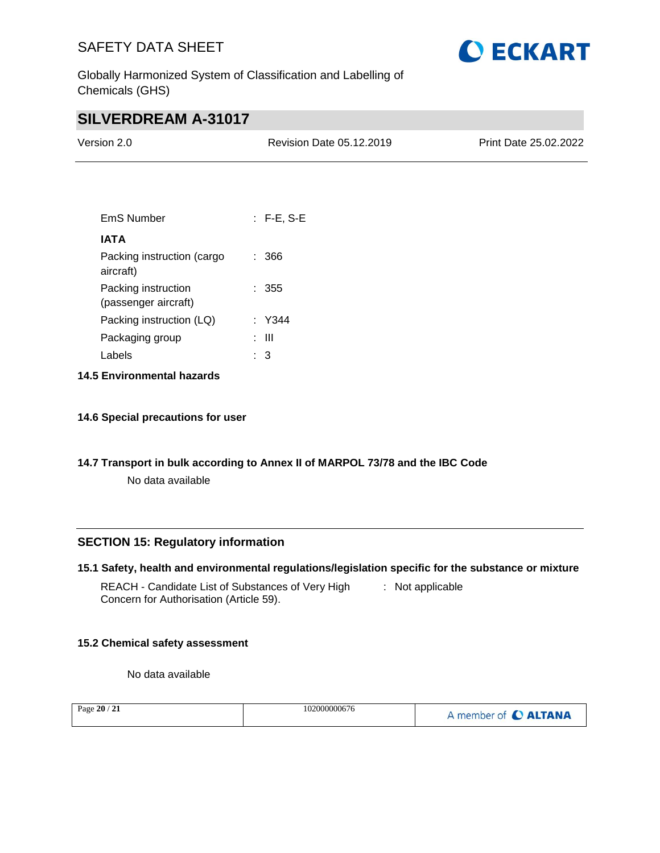

Globally Harmonized System of Classification and Labelling of Chemicals (GHS)

# **SILVERDREAM A-31017**

| Version 2.0 | <b>Revision Date 05.12.2019</b> | <b>Print Date 25.02.2022</b> |
|-------------|---------------------------------|------------------------------|
|             |                                 |                              |

| EmS Number                                  | $:$ F-E, S-E |
|---------------------------------------------|--------------|
| IATA                                        |              |
| Packing instruction (cargo<br>aircraft)     | : 366        |
| Packing instruction<br>(passenger aircraft) | : 355        |
| Packing instruction (LQ)                    | : Y344       |
| Packaging group                             | : III        |
| Labels                                      | 3            |
|                                             |              |

- **14.5 Environmental hazards**
- **14.6 Special precautions for user**
- **14.7 Transport in bulk according to Annex II of MARPOL 73/78 and the IBC Code**

No data available

## **SECTION 15: Regulatory information**

|  |  | 15.1 Safety, health and environmental regulations/legislation specific for the substance or mixture |  |  |  |  |  |  |
|--|--|-----------------------------------------------------------------------------------------------------|--|--|--|--|--|--|
|--|--|-----------------------------------------------------------------------------------------------------|--|--|--|--|--|--|

REACH - Candidate List of Substances of Very High : Not applicable Concern for Authorisation (Article 59).

## **15.2 Chemical safety assessment**

No data available

| $\sqrt{21}$<br>Page $20/$ | 102000000676 | A member of C ALTANA |
|---------------------------|--------------|----------------------|
|---------------------------|--------------|----------------------|